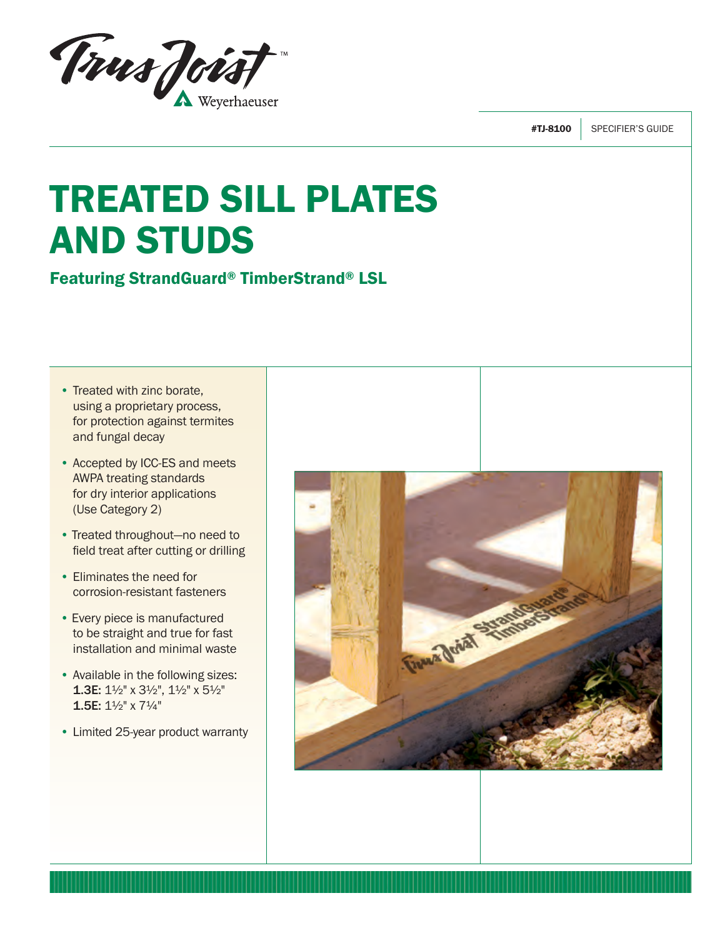

#TJ-8100 SPECIFIER'S GUIDE

# TREATED SILL PLATES AND STUDS

Featuring StrandGuard® TimberStrand® LSL

- Treated with zinc borate, using a proprietary process, for protection against termites and fungal decay
- Accepted by ICC-ES and meets AWPA treating standards for dry interior applications (Use Category 2)
- Treated throughout—no need to field treat after cutting or drilling
- Eliminates the need for corrosion-resistant fasteners
- Every piece is manufactured to be straight and true for fast installation and minimal waste
- Available in the following sizes: 1.3E: 1½" x 3½", 1½" x 5½" 1.5E: 1½" x 7¼"
- Limited 25-year product warranty